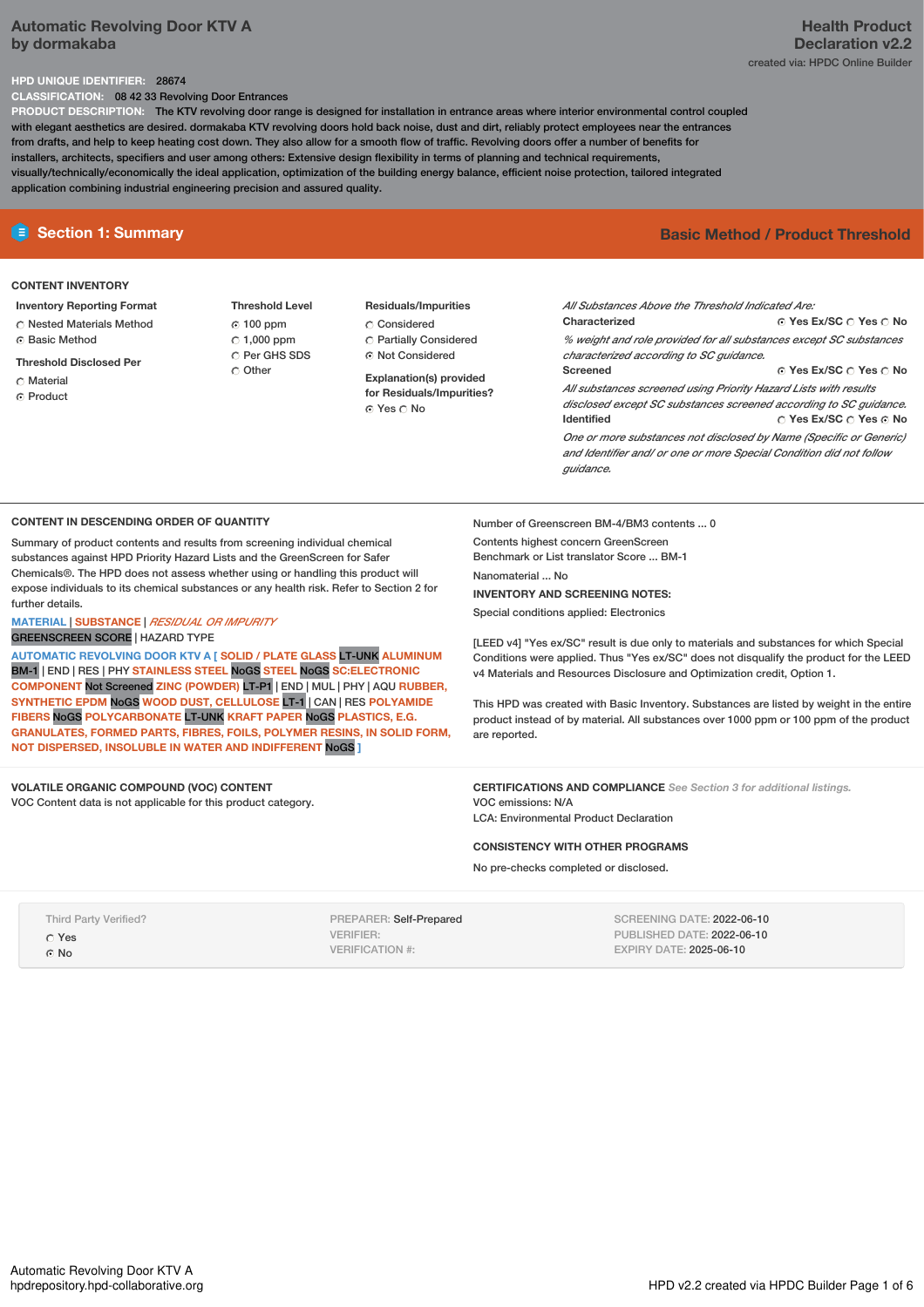# **Automatic Revolving Door KTV A by dormakaba**

# **Health Product Declaration v2.2** created via: HPDC Online Builder

## **HPD UNIQUE IDENTIFIER:** 28674

**CLASSIFICATION:** 08 42 33 Revolving Door Entrances

**PRODUCT DESCRIPTION:** The KTV revolving door range is designed for installation in entrance areas where interior environmental control coupled with elegant aesthetics are desired. dormakaba KTV revolving doors hold back noise, dust and dirt, reliably protect employees near the entrances from drafts, and help to keep heating cost down. They also allow for a smooth flow of traffic. Revolving doors offer a number of benefits for installers, architects, specifiers and user among others: Extensive design flexibility in terms of planning and technical requirements, visually/technically/economically the ideal application, optimization of the building energy balance, efficient noise protection, tailored integrated application combining industrial engineering precision and assured quality.

# **E** Section 1: Summary **Basic** Method **/** Product Threshold

# **CONTENT INVENTORY**

# **Inventory Reporting Format**

- Nested Materials Method
- **G** Basic Method
- **Threshold Disclosed Per**
- Material
- ⊙ Product

## **Threshold Level**  $C$  100 ppm  $C$  1.000 ppm Per GHS SDS C Other

**Residuals/Impurities** Considered Partially Considered

Not Considered

**Explanation(s) provided for Residuals/Impurities?** ⊙ Yes  $\bigcirc$  No

**Yes Ex/SC Yes No Yes Ex/SC Yes No Yes Ex/SC Yes No** *All Substances Above the Threshold Indicated Are:* **Characterized** *% weight and role provided for all substances except SC substances characterized according to SC guidance.* **Screened** *All substances screened using Priority Hazard Lists with results disclosed except SC substances screened according to SC guidance.* **Identified** *One or more substances not disclosed by Name (Specific or Generic) and Identifier and/ or one or more Special Condition did not follow guidance.*

## **CONTENT IN DESCENDING ORDER OF QUANTITY**

Summary of product contents and results from screening individual chemical substances against HPD Priority Hazard Lists and the GreenScreen for Safer Chemicals®. The HPD does not assess whether using or handling this product will expose individuals to its chemical substances or any health risk. Refer to Section 2 for further details.

# **MATERIAL** | **SUBSTANCE** | *RESIDUAL OR IMPURITY*

GREENSCREEN SCORE | HAZARD TYPE

**AUTOMATIC REVOLVING DOOR KTV A [ SOLID / PLATE GLASS** LT-UNK **ALUMINUM** BM-1 | END |RES | PHY **STAINLESS STEEL** NoGS **STEEL** NoGS **SC:ELECTRONIC COMPONENT** Not Screened **ZINC (POWDER)** LT-P1 | END |MUL | PHY |AQU **RUBBER, SYNTHETIC EPDM** NoGS **WOOD DUST, CELLULOSE** LT-1 | CAN |RES **POLYAMIDE FIBERS** NoGS **POLYCARBONATE** LT-UNK **KRAFT PAPER** NoGS **PLASTICS, E.G. GRANULATES, FORMED PARTS, FIBRES, FOILS, POLYMER RESINS, IN SOLID FORM, NOT DISPERSED, INSOLUBLE IN WATER AND INDIFFERENT** NoGS **]**

**VOLATILE ORGANIC COMPOUND (VOC) CONTENT** VOC Content data is not applicable for this product category. Number of Greenscreen BM-4/BM3 contents ... 0 Contents highest concern GreenScreen Benchmark or List translator Score ... BM-1 Nanomaterial No. **INVENTORY AND SCREENING NOTES:**

Special conditions applied: Electronics

[LEED v4] "Yes ex/SC" result is due only to materials and substances for which Special Conditions were applied. Thus "Yes ex/SC" does not disqualify the product for the LEED v4 Materials and Resources Disclosure and Optimization credit, Option 1.

This HPD was created with Basic Inventory. Substances are listed by weight in the entire product instead of by material. All substances over 1000 ppm or 100 ppm of the product are reported.

**CERTIFICATIONS AND COMPLIANCE** *See Section 3 for additional listings.* VOC emissions: N/A LCA: Environmental Product Declaration

## **CONSISTENCY WITH OTHER PROGRAMS**

No pre-checks completed or disclosed.

Third Party Verified?

Yes

G<sub>No</sub>

PREPARER: Self-Prepared VERIFIER: VERIFICATION #:

SCREENING DATE: 2022-06-10 PUBLISHED DATE: 2022-06-10 EXPIRY DATE: 2025-06-10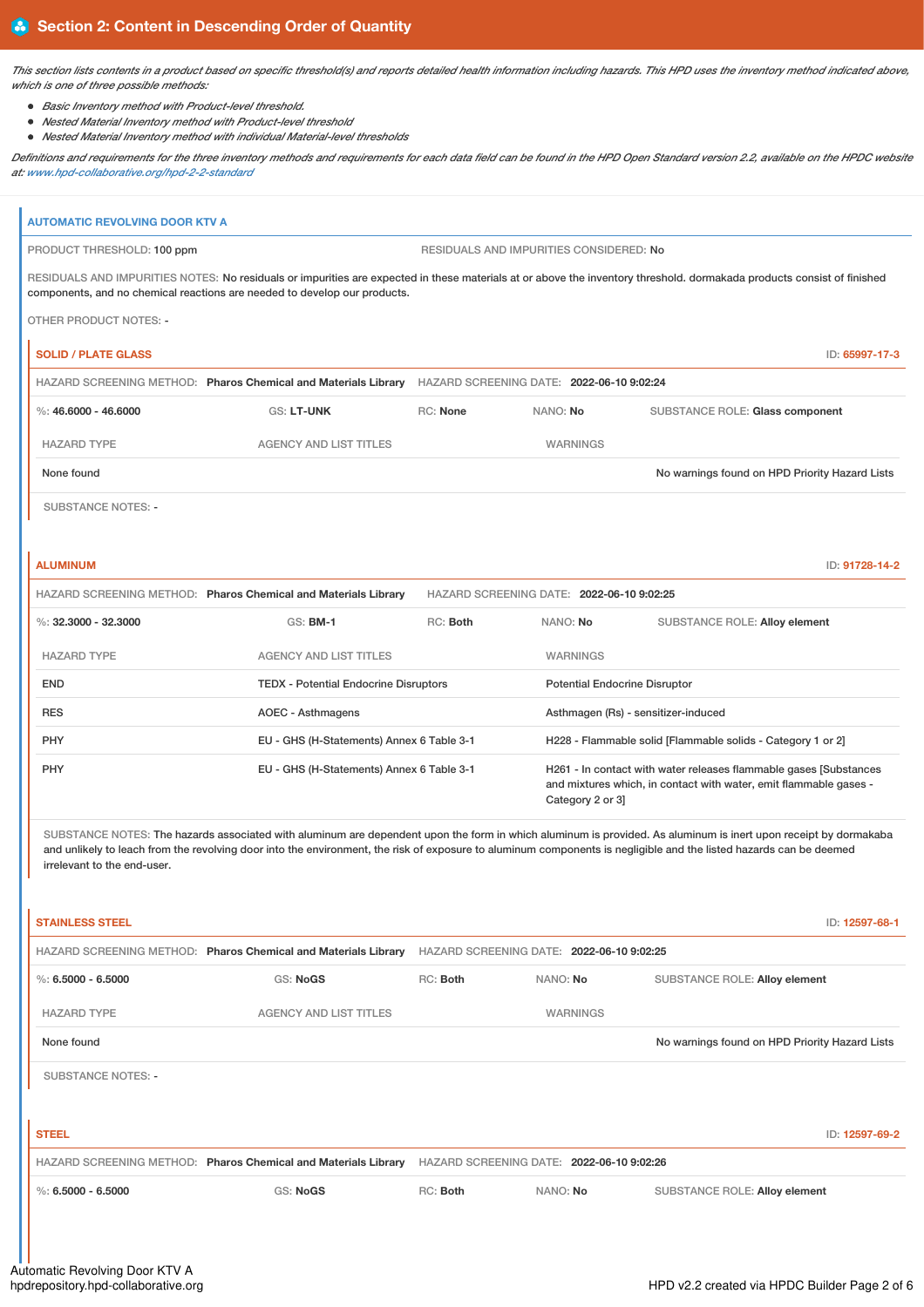This section lists contents in a product based on specific threshold(s) and reports detailed health information including hazards. This HPD uses the inventory method indicated above, *which is one of three possible methods:*

- *Basic Inventory method with Product-level threshold.*
- *Nested Material Inventory method with Product-level threshold*
- *Nested Material Inventory method with individual Material-level thresholds*

Definitions and requirements for the three inventory methods and requirements for each data field can be found in the HPD Open Standard version 2.2, available on the HPDC website *at: [www.hpd-collaborative.org/hpd-2-2-standard](https://www.hpd-collaborative.org/hpd-2-2-standard)*

| <b>AUTOMATIC REVOLVING DOOR KTV A</b>                 |                                                                                                                        |                                              |                                           |                                                                                                                                                                                                                                                                                                                                                         |  |  |
|-------------------------------------------------------|------------------------------------------------------------------------------------------------------------------------|----------------------------------------------|-------------------------------------------|---------------------------------------------------------------------------------------------------------------------------------------------------------------------------------------------------------------------------------------------------------------------------------------------------------------------------------------------------------|--|--|
| PRODUCT THRESHOLD: 100 ppm                            |                                                                                                                        |                                              | RESIDUALS AND IMPURITIES CONSIDERED: No   |                                                                                                                                                                                                                                                                                                                                                         |  |  |
|                                                       | components, and no chemical reactions are needed to develop our products.                                              |                                              |                                           | RESIDUALS AND IMPURITIES NOTES: No residuals or impurities are expected in these materials at or above the inventory threshold. dormakada products consist of finished                                                                                                                                                                                  |  |  |
| <b>OTHER PRODUCT NOTES: -</b>                         |                                                                                                                        |                                              |                                           |                                                                                                                                                                                                                                                                                                                                                         |  |  |
|                                                       |                                                                                                                        |                                              |                                           |                                                                                                                                                                                                                                                                                                                                                         |  |  |
| <b>SOLID / PLATE GLASS</b>                            |                                                                                                                        |                                              |                                           | ID: 65997-17-3                                                                                                                                                                                                                                                                                                                                          |  |  |
| $\%$ : 46,6000 - 46,6000                              | HAZARD SCREENING METHOD: Pharos Chemical and Materials Library HAZARD SCREENING DATE: 2022-06-10 9:02:24<br>GS: LT-UNK | RC: None                                     | NANO: No                                  | SUBSTANCE ROLE: Glass component                                                                                                                                                                                                                                                                                                                         |  |  |
|                                                       |                                                                                                                        |                                              |                                           |                                                                                                                                                                                                                                                                                                                                                         |  |  |
| <b>HAZARD TYPE</b>                                    | <b>AGENCY AND LIST TITLES</b>                                                                                          |                                              | WARNINGS                                  |                                                                                                                                                                                                                                                                                                                                                         |  |  |
| None found                                            |                                                                                                                        |                                              |                                           | No warnings found on HPD Priority Hazard Lists                                                                                                                                                                                                                                                                                                          |  |  |
| <b>SUBSTANCE NOTES: -</b>                             |                                                                                                                        |                                              |                                           |                                                                                                                                                                                                                                                                                                                                                         |  |  |
|                                                       |                                                                                                                        |                                              |                                           |                                                                                                                                                                                                                                                                                                                                                         |  |  |
| <b>ALUMINUM</b>                                       |                                                                                                                        |                                              |                                           | ID: 91728-14-2                                                                                                                                                                                                                                                                                                                                          |  |  |
|                                                       | HAZARD SCREENING METHOD: Pharos Chemical and Materials Library                                                         |                                              | HAZARD SCREENING DATE: 2022-06-10 9:02:25 |                                                                                                                                                                                                                                                                                                                                                         |  |  |
| %: $32.3000 - 32.3000$                                | GS: <b>BM-1</b>                                                                                                        | RC: Both                                     | NANO: No                                  | SUBSTANCE ROLE: Alloy element                                                                                                                                                                                                                                                                                                                           |  |  |
| <b>HAZARD TYPE</b>                                    | <b>AGENCY AND LIST TITLES</b>                                                                                          |                                              | <b>WARNINGS</b>                           |                                                                                                                                                                                                                                                                                                                                                         |  |  |
| <b>END</b>                                            |                                                                                                                        | <b>TEDX</b> - Potential Endocrine Disruptors |                                           | <b>Potential Endocrine Disruptor</b>                                                                                                                                                                                                                                                                                                                    |  |  |
| <b>RES</b>                                            | AOEC - Asthmagens                                                                                                      |                                              |                                           | Asthmagen (Rs) - sensitizer-induced                                                                                                                                                                                                                                                                                                                     |  |  |
| PHY                                                   |                                                                                                                        | EU - GHS (H-Statements) Annex 6 Table 3-1    |                                           | H228 - Flammable solid [Flammable solids - Category 1 or 2]                                                                                                                                                                                                                                                                                             |  |  |
| PHY                                                   | EU - GHS (H-Statements) Annex 6 Table 3-1                                                                              |                                              | Category 2 or 3]                          | H261 - In contact with water releases flammable gases [Substances]<br>and mixtures which, in contact with water, emit flammable gases -                                                                                                                                                                                                                 |  |  |
| irrelevant to the end-user.<br><b>STAINLESS STEEL</b> |                                                                                                                        |                                              |                                           | SUBSTANCE NOTES: The hazards associated with aluminum are dependent upon the form in which aluminum is provided. As aluminum is inert upon receipt by dormakaba<br>and unlikely to leach from the revolving door into the environment, the risk of exposure to aluminum components is negligible and the listed hazards can be deemed<br>ID: 12597-68-1 |  |  |
|                                                       | HAZARD SCREENING METHOD: Pharos Chemical and Materials Library HAZARD SCREENING DATE: 2022-06-10 9:02:25               |                                              |                                           |                                                                                                                                                                                                                                                                                                                                                         |  |  |
| %: $6.5000 - 6.5000$                                  | GS: NoGS                                                                                                               | RC: Both                                     | NANO: No                                  | SUBSTANCE ROLE: Alloy element                                                                                                                                                                                                                                                                                                                           |  |  |
| <b>HAZARD TYPE</b>                                    | <b>AGENCY AND LIST TITLES</b>                                                                                          |                                              | WARNINGS                                  |                                                                                                                                                                                                                                                                                                                                                         |  |  |
| None found                                            |                                                                                                                        |                                              |                                           | No warnings found on HPD Priority Hazard Lists                                                                                                                                                                                                                                                                                                          |  |  |
| <b>SUBSTANCE NOTES: -</b>                             |                                                                                                                        |                                              |                                           |                                                                                                                                                                                                                                                                                                                                                         |  |  |
| <b>STEEL</b>                                          |                                                                                                                        |                                              |                                           | ID: 12597-69-2                                                                                                                                                                                                                                                                                                                                          |  |  |
|                                                       | HAZARD SCREENING METHOD: Pharos Chemical and Materials Library HAZARD SCREENING DATE: 2022-06-10 9:02:26               |                                              |                                           |                                                                                                                                                                                                                                                                                                                                                         |  |  |
| %: $6.5000 - 6.5000$                                  | GS: NoGS                                                                                                               | RC: Both                                     | NANO: No                                  | SUBSTANCE ROLE: Alloy element                                                                                                                                                                                                                                                                                                                           |  |  |
|                                                       |                                                                                                                        |                                              |                                           |                                                                                                                                                                                                                                                                                                                                                         |  |  |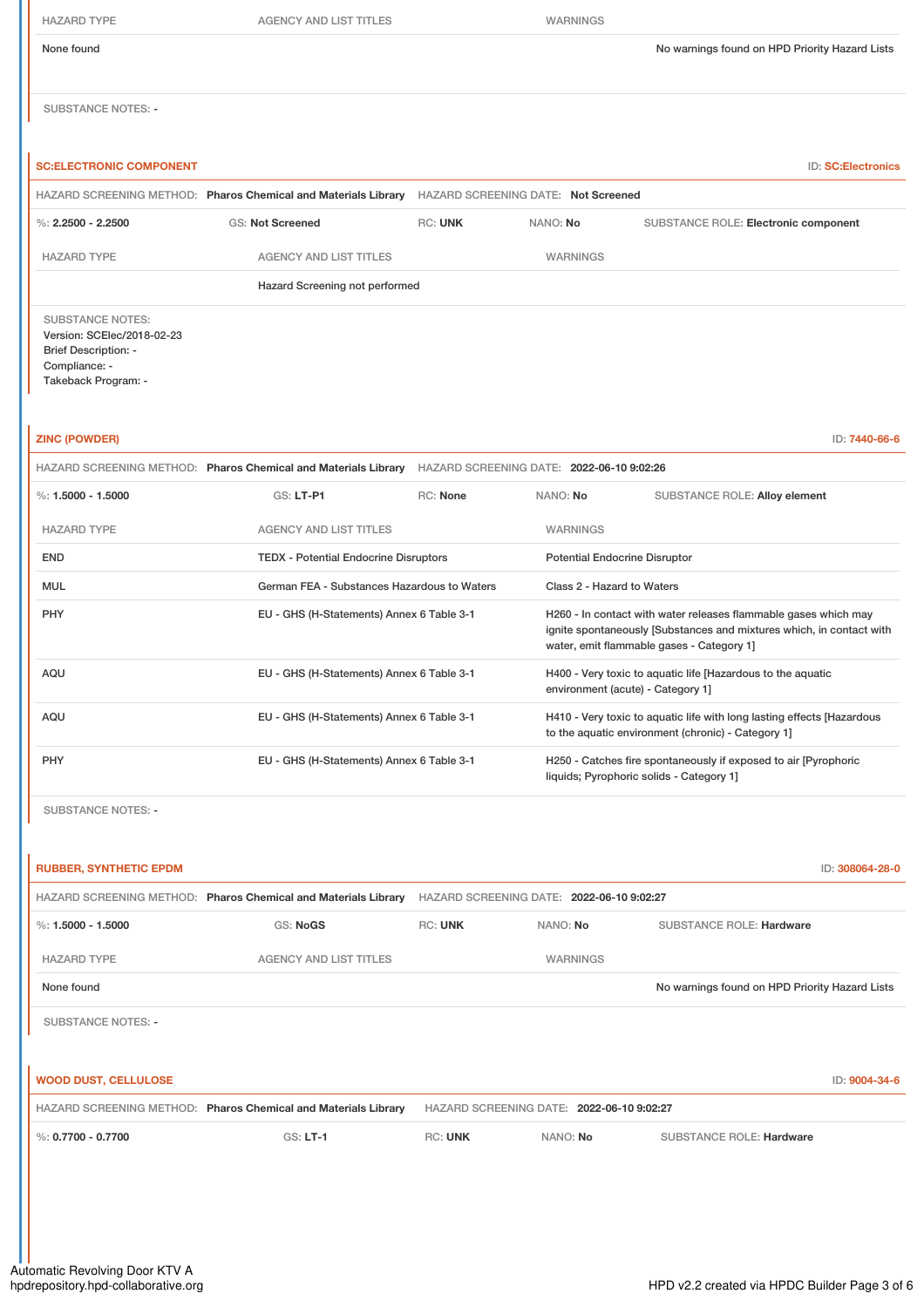| <b>HAZARD TYPE</b>                                                                                                           | <b>AGENCY AND LIST TITLES</b>                                                                            |          | <b>WARNINGS</b>                      |                                                                                                                                                                                      |
|------------------------------------------------------------------------------------------------------------------------------|----------------------------------------------------------------------------------------------------------|----------|--------------------------------------|--------------------------------------------------------------------------------------------------------------------------------------------------------------------------------------|
| None found                                                                                                                   |                                                                                                          |          |                                      | No warnings found on HPD Priority Hazard Lists                                                                                                                                       |
| <b>SUBSTANCE NOTES: -</b>                                                                                                    |                                                                                                          |          |                                      |                                                                                                                                                                                      |
| <b>SC:ELECTRONIC COMPONENT</b>                                                                                               |                                                                                                          |          |                                      | ID: SC:Electronics                                                                                                                                                                   |
|                                                                                                                              | HAZARD SCREENING METHOD: Pharos Chemical and Materials Library HAZARD SCREENING DATE: Not Screened       |          |                                      |                                                                                                                                                                                      |
| %: $2.2500 - 2.2500$                                                                                                         | <b>GS: Not Screened</b>                                                                                  | RC: UNK  | NANO: No                             | SUBSTANCE ROLE: Electronic component                                                                                                                                                 |
| <b>HAZARD TYPE</b>                                                                                                           | <b>AGENCY AND LIST TITLES</b>                                                                            |          | WARNINGS                             |                                                                                                                                                                                      |
|                                                                                                                              | Hazard Screening not performed                                                                           |          |                                      |                                                                                                                                                                                      |
| <b>SUBSTANCE NOTES:</b><br>Version: SCElec/2018-02-23<br><b>Brief Description: -</b><br>Compliance: -<br>Takeback Program: - |                                                                                                          |          |                                      |                                                                                                                                                                                      |
| <b>ZINC (POWDER)</b>                                                                                                         |                                                                                                          |          |                                      | ID: 7440-66-6                                                                                                                                                                        |
|                                                                                                                              | HAZARD SCREENING METHOD: Pharos Chemical and Materials Library HAZARD SCREENING DATE: 2022-06-10 9:02:26 |          |                                      |                                                                                                                                                                                      |
| %: 1.5000 - 1.5000                                                                                                           | GS: LT-P1                                                                                                | RC: None | NANO: No                             | SUBSTANCE ROLE: Alloy element                                                                                                                                                        |
| <b>HAZARD TYPE</b>                                                                                                           | <b>AGENCY AND LIST TITLES</b>                                                                            |          | WARNINGS                             |                                                                                                                                                                                      |
| <b>END</b>                                                                                                                   | <b>TEDX - Potential Endocrine Disruptors</b>                                                             |          | <b>Potential Endocrine Disruptor</b> |                                                                                                                                                                                      |
| <b>MUL</b>                                                                                                                   | German FEA - Substances Hazardous to Waters                                                              |          |                                      |                                                                                                                                                                                      |
| PHY                                                                                                                          |                                                                                                          |          | Class 2 - Hazard to Waters           |                                                                                                                                                                                      |
|                                                                                                                              | EU - GHS (H-Statements) Annex 6 Table 3-1                                                                |          |                                      | H260 - In contact with water releases flammable gases which may<br>ignite spontaneously [Substances and mixtures which, in contact with<br>water, emit flammable gases - Category 1] |
| AQU                                                                                                                          | EU - GHS (H-Statements) Annex 6 Table 3-1                                                                |          |                                      | H400 - Very toxic to aquatic life [Hazardous to the aquatic<br>environment (acute) - Category 1]                                                                                     |
| AQU                                                                                                                          | EU - GHS (H-Statements) Annex 6 Table 3-1                                                                |          |                                      | H410 - Very toxic to aquatic life with long lasting effects [Hazardous<br>to the aquatic environment (chronic) - Category 1]                                                         |
| PHY                                                                                                                          | EU - GHS (H-Statements) Annex 6 Table 3-1                                                                |          |                                      | H250 - Catches fire spontaneously if exposed to air [Pyrophoric<br>liquids; Pyrophoric solids - Category 1]                                                                          |

| <b>RUBBER, SYNTHETIC EPDM</b> |                                                                |                                           |                                           |                                                | ID: 308064-28-0 |
|-------------------------------|----------------------------------------------------------------|-------------------------------------------|-------------------------------------------|------------------------------------------------|-----------------|
|                               | HAZARD SCREENING METHOD: Pharos Chemical and Materials Library | HAZARD SCREENING DATE: 2022-06-10 9:02:27 |                                           |                                                |                 |
| %: $1.5000 - 1.5000$          | GS: NoGS                                                       | <b>RC: UNK</b>                            | NANO: No                                  | <b>SUBSTANCE ROLE: Hardware</b>                |                 |
| <b>HAZARD TYPE</b>            | <b>AGENCY AND LIST TITLES</b>                                  |                                           | <b>WARNINGS</b>                           |                                                |                 |
| None found                    |                                                                |                                           |                                           | No warnings found on HPD Priority Hazard Lists |                 |
| <b>SUBSTANCE NOTES: -</b>     |                                                                |                                           |                                           |                                                |                 |
|                               |                                                                |                                           |                                           |                                                |                 |
| <b>WOOD DUST, CELLULOSE</b>   |                                                                |                                           |                                           |                                                | ID: 9004-34-6   |
|                               | HAZARD SCREENING METHOD: Pharos Chemical and Materials Library |                                           | HAZARD SCREENING DATE: 2022-06-10 9:02:27 |                                                |                 |
| %: $0.7700 - 0.7700$          | $GS: LT-1$                                                     | <b>RC: UNK</b>                            | NANO: No                                  | <b>SUBSTANCE ROLE: Hardware</b>                |                 |
|                               |                                                                |                                           |                                           |                                                |                 |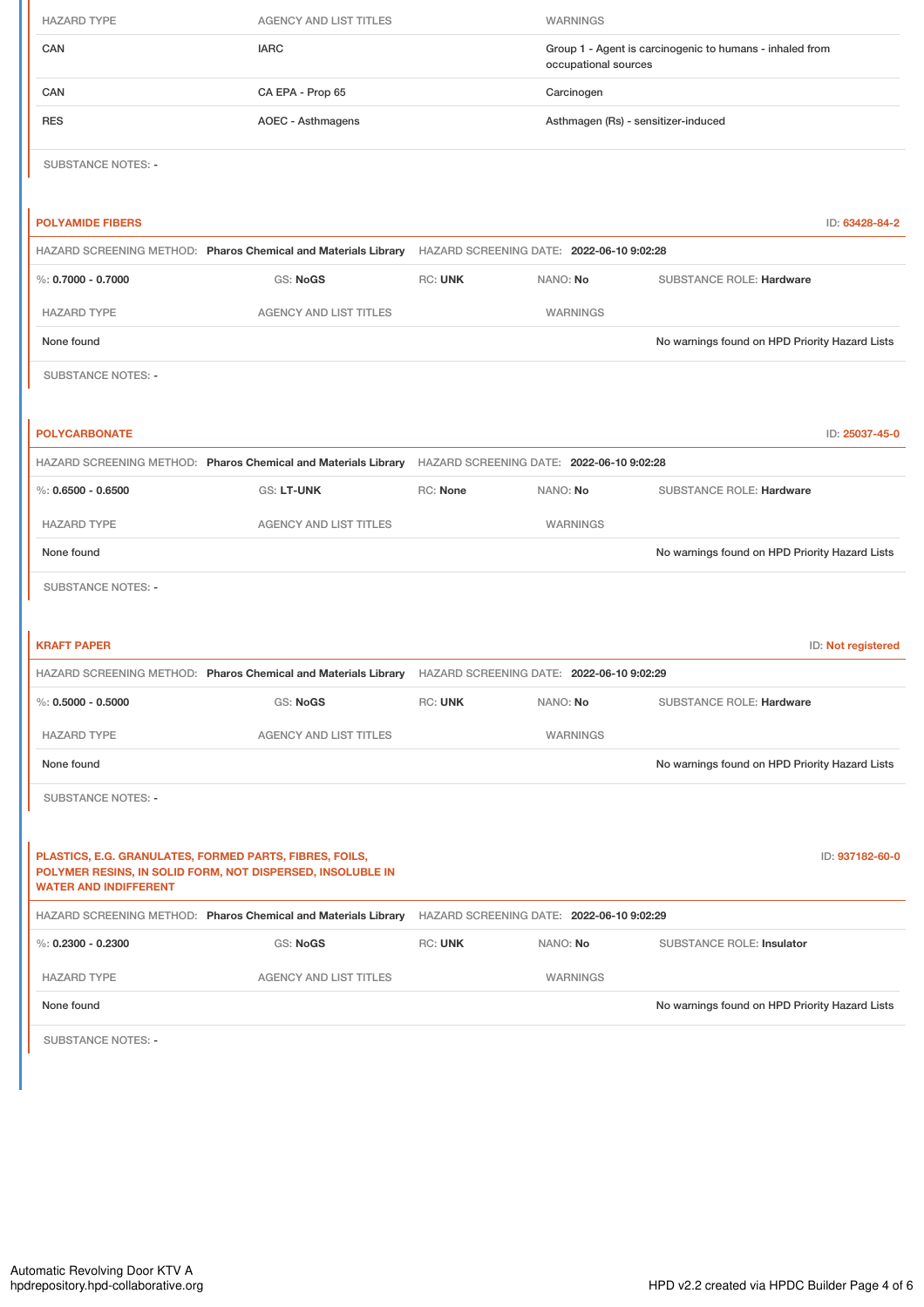| <b>HAZARD TYPE</b>                                                                      | <b>AGENCY AND LIST TITLES</b>                                                                            |                                                                                                          | WARNINGS        |                                                                                  |  |
|-----------------------------------------------------------------------------------------|----------------------------------------------------------------------------------------------------------|----------------------------------------------------------------------------------------------------------|-----------------|----------------------------------------------------------------------------------|--|
| CAN                                                                                     | <b>IARC</b>                                                                                              |                                                                                                          |                 | Group 1 - Agent is carcinogenic to humans - inhaled from<br>occupational sources |  |
| CAN                                                                                     | CA EPA - Prop 65                                                                                         |                                                                                                          | Carcinogen      |                                                                                  |  |
| <b>RES</b>                                                                              | <b>AOEC - Asthmagens</b>                                                                                 |                                                                                                          |                 | Asthmagen (Rs) - sensitizer-induced                                              |  |
| <b>SUBSTANCE NOTES: -</b>                                                               |                                                                                                          |                                                                                                          |                 |                                                                                  |  |
| <b>POLYAMIDE FIBERS</b>                                                                 |                                                                                                          |                                                                                                          |                 | ID: 63428-84-2                                                                   |  |
|                                                                                         | HAZARD SCREENING METHOD: Pharos Chemical and Materials Library HAZARD SCREENING DATE: 2022-06-10 9:02:28 |                                                                                                          |                 |                                                                                  |  |
| %: $0.7000 - 0.7000$                                                                    | GS: NoGS                                                                                                 | RC: UNK                                                                                                  | NANO: No        | SUBSTANCE ROLE: Hardware                                                         |  |
| <b>HAZARD TYPE</b>                                                                      | <b>AGENCY AND LIST TITLES</b>                                                                            |                                                                                                          | <b>WARNINGS</b> |                                                                                  |  |
| None found                                                                              |                                                                                                          |                                                                                                          |                 | No warnings found on HPD Priority Hazard Lists                                   |  |
| <b>SUBSTANCE NOTES: -</b>                                                               |                                                                                                          |                                                                                                          |                 |                                                                                  |  |
| <b>POLYCARBONATE</b>                                                                    |                                                                                                          |                                                                                                          |                 | ID: 25037-45-0                                                                   |  |
|                                                                                         | HAZARD SCREENING METHOD: Pharos Chemical and Materials Library HAZARD SCREENING DATE: 2022-06-10 9:02:28 |                                                                                                          |                 |                                                                                  |  |
| %: $0.6500 - 0.6500$                                                                    | GS: LT-UNK                                                                                               | RC: None                                                                                                 | NANO: No        | SUBSTANCE ROLE: Hardware                                                         |  |
| <b>HAZARD TYPE</b>                                                                      | <b>AGENCY AND LIST TITLES</b>                                                                            |                                                                                                          | WARNINGS        |                                                                                  |  |
| None found                                                                              |                                                                                                          |                                                                                                          |                 | No warnings found on HPD Priority Hazard Lists                                   |  |
| <b>SUBSTANCE NOTES: -</b>                                                               |                                                                                                          |                                                                                                          |                 |                                                                                  |  |
|                                                                                         |                                                                                                          |                                                                                                          |                 |                                                                                  |  |
| <b>KRAFT PAPER</b>                                                                      |                                                                                                          |                                                                                                          |                 | ID: Not registered                                                               |  |
|                                                                                         |                                                                                                          | HAZARD SCREENING METHOD: Pharos Chemical and Materials Library HAZARD SCREENING DATE: 2022-06-10 9:02:29 |                 |                                                                                  |  |
| %: $0.5000 - 0.5000$                                                                    | GS: NoGS                                                                                                 | RC: UNK                                                                                                  | NANO: No        | SUBSTANCE ROLE: Hardware                                                         |  |
| <b>HAZARD TYPE</b>                                                                      | <b>AGENCY AND LIST TITLES</b>                                                                            |                                                                                                          | WARNINGS        |                                                                                  |  |
| None found                                                                              |                                                                                                          |                                                                                                          |                 | No warnings found on HPD Priority Hazard Lists                                   |  |
| <b>SUBSTANCE NOTES: -</b>                                                               |                                                                                                          |                                                                                                          |                 |                                                                                  |  |
|                                                                                         |                                                                                                          |                                                                                                          |                 |                                                                                  |  |
| PLASTICS, E.G. GRANULATES, FORMED PARTS, FIBRES, FOILS,<br><b>WATER AND INDIFFERENT</b> | POLYMER RESINS, IN SOLID FORM, NOT DISPERSED, INSOLUBLE IN                                               |                                                                                                          |                 | ID: 937182-60-0                                                                  |  |
|                                                                                         | HAZARD SCREENING METHOD: Pharos Chemical and Materials Library                                           | HAZARD SCREENING DATE: 2022-06-10 9:02:29                                                                |                 |                                                                                  |  |
| %: $0.2300 - 0.2300$                                                                    | GS: NoGS                                                                                                 | RC: UNK                                                                                                  | NANO: No        | SUBSTANCE ROLE: Insulator                                                        |  |
| <b>HAZARD TYPE</b>                                                                      | AGENCY AND LIST TITLES                                                                                   |                                                                                                          | WARNINGS        |                                                                                  |  |
| None found                                                                              |                                                                                                          |                                                                                                          |                 | No warnings found on HPD Priority Hazard Lists                                   |  |

SUBSTANCE NOTES: -

 $\mathbf{I}$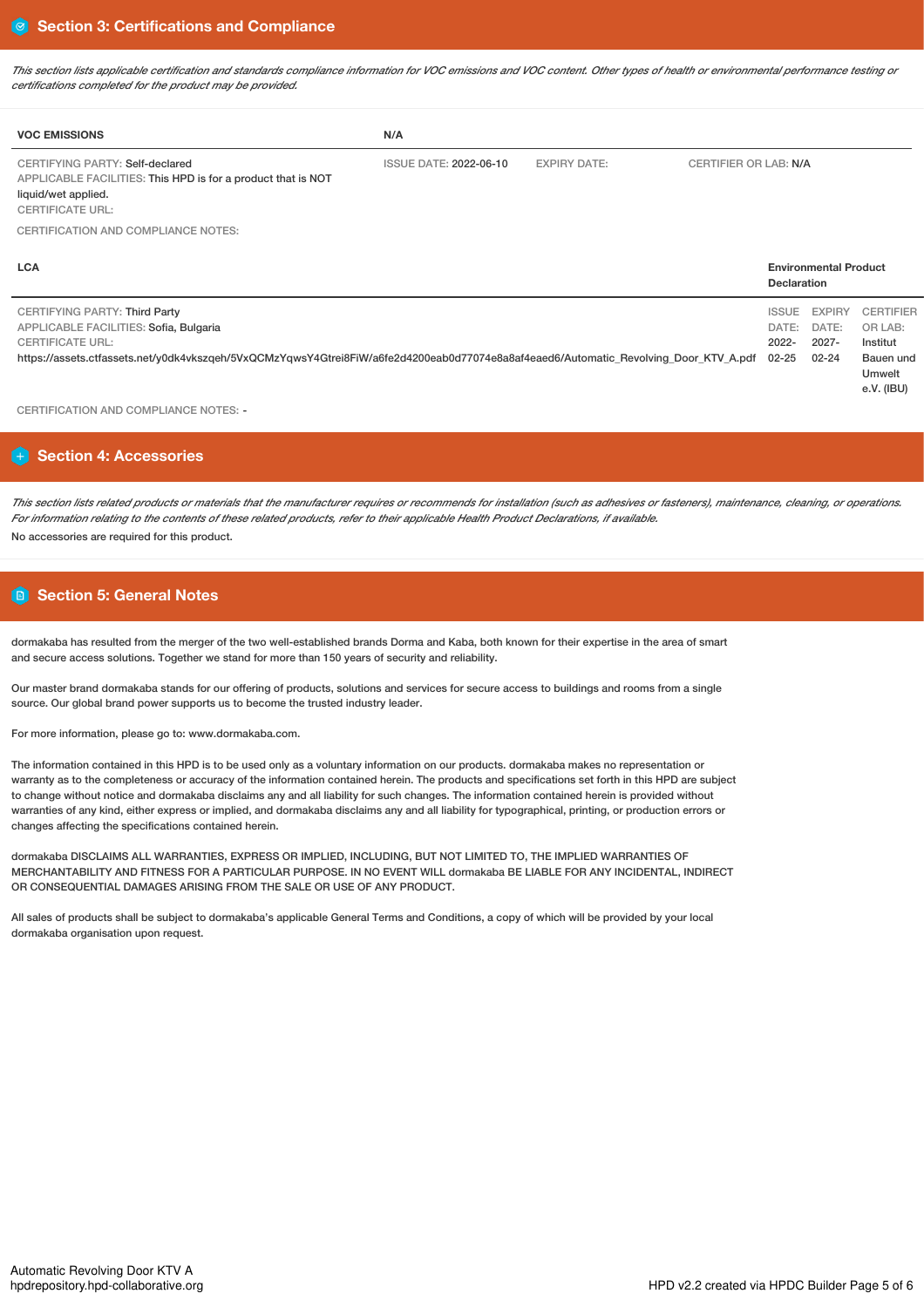This section lists applicable certification and standards compliance information for VOC emissions and VOC content. Other types of health or environmental performance testing or *certifications completed for the product may be provided.*

| <b>VOC EMISSIONS</b>                                                                                                                              | N/A                           |                     |                                                    |
|---------------------------------------------------------------------------------------------------------------------------------------------------|-------------------------------|---------------------|----------------------------------------------------|
| CERTIFYING PARTY: Self-declared<br>APPLICABLE FACILITIES: This HPD is for a product that is NOT<br>liquid/wet applied.<br><b>CERTIFICATE URL:</b> | <b>ISSUE DATE: 2022-06-10</b> | <b>EXPIRY DATE:</b> | CERTIFIER OR LAB: N/A                              |
| CERTIFICATION AND COMPLIANCE NOTES:                                                                                                               |                               |                     |                                                    |
| <b>LCA</b>                                                                                                                                        |                               |                     | <b>Environmental Product</b><br><b>Dooloration</b> |

|                                                                                                                                                  | <b>Devial auvil</b> |              |                  |
|--------------------------------------------------------------------------------------------------------------------------------------------------|---------------------|--------------|------------------|
| CERTIFYING PARTY: Third Party                                                                                                                    |                     | ISSUE EXPIRY | <b>CERTIFIER</b> |
| APPLICABLE FACILITIES: Sofia, Bulgaria                                                                                                           |                     | DATE: DATE:  | OR LAB:          |
| <b>CERTIFICATE URL:</b>                                                                                                                          | 2022-               | $2027 -$     | Institut         |
| https://assets.ctfassets.net/y0dk4vkszqeh/5VxQCMzYqwsY4Gtrei8FiW/a6fe2d4200eab0d77074e8a8af4eaed6/Automatic_Revolving Door KTV A.pdf 02-25 02-24 |                     |              | Bauen und        |
|                                                                                                                                                  |                     |              | Umwelt           |
|                                                                                                                                                  |                     |              | e.V. (IBU)       |

CERTIFICATION AND COMPLIANCE NOTES: -

# **Section 4: Accessories**

This section lists related products or materials that the manufacturer requires or recommends for installation (such as adhesives or fasteners), maintenance, cleaning, or operations. For information relating to the contents of these related products, refer to their applicable Health Product Declarations, if available. No accessories are required for this product.

# **Section 5: General Notes**

dormakaba has resulted from the merger of the two well-established brands Dorma and Kaba, both known for their expertise in the area of smart and secure access solutions. Together we stand for more than 150 years of security and reliability.

Our master brand dormakaba stands for our offering of products, solutions and services for secure access to buildings and rooms from a single source. Our global brand power supports us to become the trusted industry leader.

For more information, please go to: www.dormakaba.com.

The information contained in this HPD is to be used only as a voluntary information on our products. dormakaba makes no representation or warranty as to the completeness or accuracy of the information contained herein. The products and specifications set forth in this HPD are subject to change without notice and dormakaba disclaims any and all liability for such changes. The information contained herein is provided without warranties of any kind, either express or implied, and dormakaba disclaims any and all liability for typographical, printing, or production errors or changes affecting the specifications contained herein.

dormakaba DISCLAIMS ALL WARRANTIES, EXPRESS OR IMPLIED, INCLUDING, BUT NOT LIMITED TO, THE IMPLIED WARRANTIES OF MERCHANTABILITY AND FITNESS FOR A PARTICULAR PURPOSE. IN NO EVENT WILL dormakaba BE LIABLE FOR ANY INCIDENTAL, INDIRECT OR CONSEQUENTIAL DAMAGES ARISING FROM THE SALE OR USE OF ANY PRODUCT.

All sales of products shall be subject to dormakaba's applicable General Terms and Conditions, a copy of which will be provided by your local dormakaba organisation upon request.